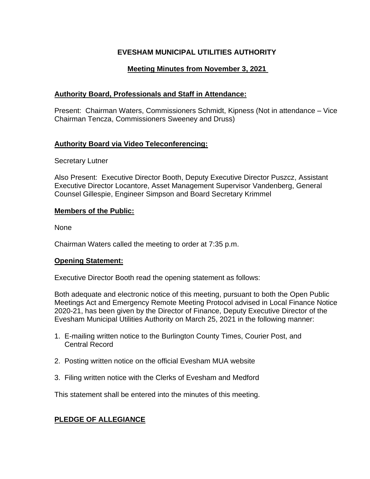# **EVESHAM MUNICIPAL UTILITIES AUTHORITY**

# **Meeting Minutes from November 3, 2021**

# **Authority Board, Professionals and Staff in Attendance:**

Present: Chairman Waters, Commissioners Schmidt, Kipness (Not in attendance – Vice Chairman Tencza, Commissioners Sweeney and Druss)

## **Authority Board via Video Teleconferencing:**

Secretary Lutner

Also Present: Executive Director Booth, Deputy Executive Director Puszcz, Assistant Executive Director Locantore, Asset Management Supervisor Vandenberg, General Counsel Gillespie, Engineer Simpson and Board Secretary Krimmel

#### **Members of the Public:**

None

Chairman Waters called the meeting to order at 7:35 p.m.

#### **Opening Statement:**

Executive Director Booth read the opening statement as follows:

Both adequate and electronic notice of this meeting, pursuant to both the Open Public Meetings Act and Emergency Remote Meeting Protocol advised in Local Finance Notice 2020-21, has been given by the Director of Finance, Deputy Executive Director of the Evesham Municipal Utilities Authority on March 25, 2021 in the following manner:

- 1. E-mailing written notice to the Burlington County Times, Courier Post, and Central Record
- 2. Posting written notice on the official Evesham MUA website
- 3. Filing written notice with the Clerks of Evesham and Medford

This statement shall be entered into the minutes of this meeting.

## **PLEDGE OF ALLEGIANCE**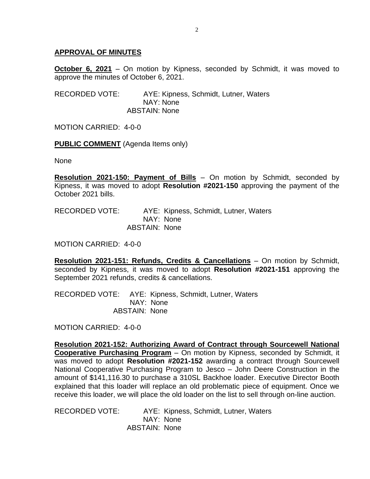### **APPROVAL OF MINUTES**

**October 6, 2021** – On motion by Kipness, seconded by Schmidt, it was moved to approve the minutes of October 6, 2021.

RECORDED VOTE: AYE: Kipness, Schmidt, Lutner, Waters NAY: None ABSTAIN: None

MOTION CARRIED: 4-0-0

**PUBLIC COMMENT** (Agenda Items only)

None

**Resolution 2021-150: Payment of Bills** – On motion by Schmidt, seconded by Kipness, it was moved to adopt **Resolution #2021-150** approving the payment of the October 2021 bills.

RECORDED VOTE: AYE: Kipness, Schmidt, Lutner, Waters NAY: None ABSTAIN: None

MOTION CARRIED: 4-0-0

**Resolution 2021-151: Refunds, Credits & Cancellations** – On motion by Schmidt, seconded by Kipness, it was moved to adopt **Resolution #2021-151** approving the September 2021 refunds, credits & cancellations.

RECORDED VOTE: AYE: Kipness, Schmidt, Lutner, Waters NAY: None ABSTAIN: None

MOTION CARRIED: 4-0-0

**Resolution 2021-152: Authorizing Award of Contract through Sourcewell National Cooperative Purchasing Program** – On motion by Kipness, seconded by Schmidt, it was moved to adopt **Resolution #2021-152** awarding a contract through Sourcewell National Cooperative Purchasing Program to Jesco – John Deere Construction in the amount of \$141,116.30 to purchase a 310SL Backhoe loader. Executive Director Booth explained that this loader will replace an old problematic piece of equipment. Once we receive this loader, we will place the old loader on the list to sell through on-line auction.

RECORDED VOTE: AYE: Kipness, Schmidt, Lutner, Waters NAY: None ABSTAIN: None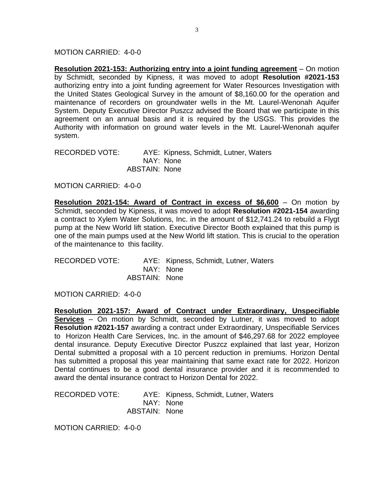MOTION CARRIED: 4-0-0

**Resolution 2021-153: Authorizing entry into a joint funding agreement** – On motion by Schmidt, seconded by Kipness, it was moved to adopt **Resolution #2021-153** authorizing entry into a joint funding agreement for Water Resources Investigation with the United States Geological Survey in the amount of \$8,160.00 for the operation and maintenance of recorders on groundwater wells in the Mt. Laurel-Wenonah Aquifer System. Deputy Executive Director Puszcz advised the Board that we participate in this agreement on an annual basis and it is required by the USGS. This provides the Authority with information on ground water levels in the Mt. Laurel-Wenonah aquifer system.

RECORDED VOTE: AYE: Kipness, Schmidt, Lutner, Waters NAY: None ABSTAIN: None

MOTION CARRIED: 4-0-0

**Resolution 2021-154: Award of Contract in excess of \$6,600** – On motion by Schmidt, seconded by Kipness, it was moved to adopt **Resolution #2021-154** awarding a contract to Xylem Water Solutions, Inc. in the amount of \$12,741.24 to rebuild a Flygt pump at the New World lift station. Executive Director Booth explained that this pump is one of the main pumps used at the New World lift station. This is crucial to the operation of the maintenance to this facility.

| RECORDED VOTE: |               | AYE: Kipness, Schmidt, Lutner, Waters |
|----------------|---------------|---------------------------------------|
|                | NAY: None     |                                       |
|                | ABSTAIN: None |                                       |

MOTION CARRIED: 4-0-0

**Resolution 2021-157: Award of Contract under Extraordinary, Unspecifiable Services** – On motion by Schmidt, seconded by Lutner, it was moved to adopt **Resolution #2021-157** awarding a contract under Extraordinary, Unspecifiable Services to Horizon Health Care Services, Inc. in the amount of \$46,297.68 for 2022 employee dental insurance. Deputy Executive Director Puszcz explained that last year, Horizon Dental submitted a proposal with a 10 percent reduction in premiums. Horizon Dental has submitted a proposal this year maintaining that same exact rate for 2022. Horizon Dental continues to be a good dental insurance provider and it is recommended to award the dental insurance contract to Horizon Dental for 2022.

RECORDED VOTE: AYE: Kipness, Schmidt, Lutner, Waters NAY: None ABSTAIN: None

MOTION CARRIED: 4-0-0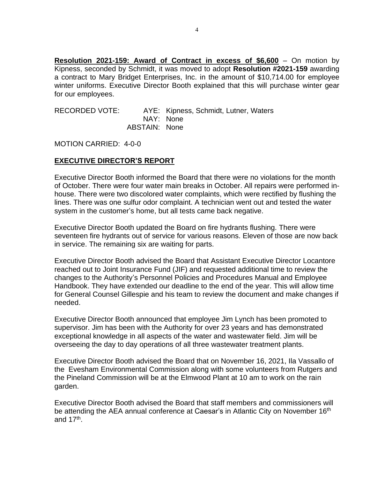**Resolution 2021-159: Award of Contract in excess of \$6,600** – On motion by Kipness, seconded by Schmidt, it was moved to adopt **Resolution #2021-159** awarding a contract to Mary Bridget Enterprises, Inc. in the amount of \$10,714.00 for employee winter uniforms. Executive Director Booth explained that this will purchase winter gear for our employees.

RECORDED VOTE: AYE: Kipness, Schmidt, Lutner, Waters NAY: None ABSTAIN: None

MOTION CARRIED: 4-0-0

#### **EXECUTIVE DIRECTOR'S REPORT**

Executive Director Booth informed the Board that there were no violations for the month of October. There were four water main breaks in October. All repairs were performed inhouse. There were two discolored water complaints, which were rectified by flushing the lines. There was one sulfur odor complaint. A technician went out and tested the water system in the customer's home, but all tests came back negative.

Executive Director Booth updated the Board on fire hydrants flushing. There were seventeen fire hydrants out of service for various reasons. Eleven of those are now back in service. The remaining six are waiting for parts.

Executive Director Booth advised the Board that Assistant Executive Director Locantore reached out to Joint Insurance Fund (JIF) and requested additional time to review the changes to the Authority's Personnel Policies and Procedures Manual and Employee Handbook. They have extended our deadline to the end of the year. This will allow time for General Counsel Gillespie and his team to review the document and make changes if needed.

Executive Director Booth announced that employee Jim Lynch has been promoted to supervisor. Jim has been with the Authority for over 23 years and has demonstrated exceptional knowledge in all aspects of the water and wastewater field. Jim will be overseeing the day to day operations of all three wastewater treatment plants.

Executive Director Booth advised the Board that on November 16, 2021, Ila Vassallo of the Evesham Environmental Commission along with some volunteers from Rutgers and the Pineland Commission will be at the Elmwood Plant at 10 am to work on the rain garden.

Executive Director Booth advised the Board that staff members and commissioners will be attending the AEA annual conference at Caesar's in Atlantic City on November 16<sup>th</sup> and 17<sup>th</sup>.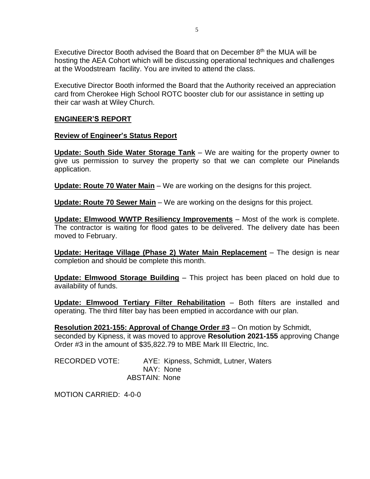Executive Director Booth advised the Board that on December  $8<sup>th</sup>$  the MUA will be hosting the AEA Cohort which will be discussing operational techniques and challenges at the Woodstream facility. You are invited to attend the class.

Executive Director Booth informed the Board that the Authority received an appreciation card from Cherokee High School ROTC booster club for our assistance in setting up their car wash at Wiley Church.

### **ENGINEER'S REPORT**

#### **Review of Engineer's Status Report**

**Update: South Side Water Storage Tank** – We are waiting for the property owner to give us permission to survey the property so that we can complete our Pinelands application.

**Update: Route 70 Water Main** – We are working on the designs for this project.

**Update: Route 70 Sewer Main** – We are working on the designs for this project.

**Update: Elmwood WWTP Resiliency Improvements** – Most of the work is complete. The contractor is waiting for flood gates to be delivered. The delivery date has been moved to February.

**Update: Heritage Village (Phase 2) Water Main Replacement** – The design is near completion and should be complete this month.

**Update: Elmwood Storage Building** – This project has been placed on hold due to availability of funds.

**Update: Elmwood Tertiary Filter Rehabilitation** – Both filters are installed and operating. The third filter bay has been emptied in accordance with our plan.

**Resolution 2021-155: Approval of Change Order #3** – On motion by Schmidt, seconded by Kipness, it was moved to approve **Resolution 2021-155** approving Change Order #3 in the amount of \$35,822.79 to MBE Mark III Electric, Inc.

RECORDED VOTE: AYE: Kipness, Schmidt, Lutner, Waters NAY: None ABSTAIN: None

MOTION CARRIED: 4-0-0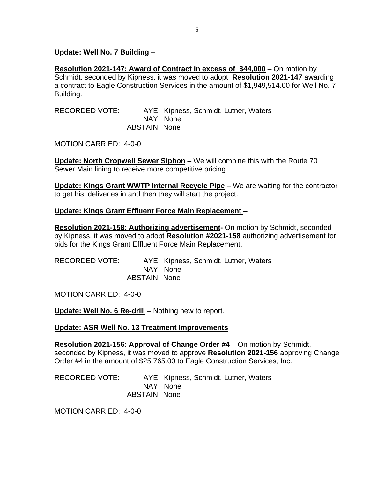#### **Update: Well No. 7 Building** –

**Resolution 2021-147: Award of Contract in excess of \$44,000** – On motion by Schmidt, seconded by Kipness, it was moved to adopt **Resolution 2021-147** awarding a contract to Eagle Construction Services in the amount of \$1,949,514.00 for Well No. 7 Building.

RECORDED VOTE: AYE: Kipness, Schmidt, Lutner, Waters NAY: None ABSTAIN: None

MOTION CARRIED: 4-0-0

**Update: North Cropwell Sewer Siphon –** We will combine this with the Route 70 Sewer Main lining to receive more competitive pricing.

**Update: Kings Grant WWTP Internal Recycle Pipe –** We are waiting for the contractor to get his deliveries in and then they will start the project.

#### **Update: Kings Grant Effluent Force Main Replacement –**

**Resolution 2021-158: Authorizing advertisement-** On motion by Schmidt, seconded by Kipness, it was moved to adopt **Resolution #2021-158** authorizing advertisement for bids for the Kings Grant Effluent Force Main Replacement.

| RECORDED VOTE: |                      | AYE: Kipness, Schmidt, Lutner, Waters |
|----------------|----------------------|---------------------------------------|
|                |                      | NAY: None                             |
|                | <b>ABSTAIN: None</b> |                                       |

MOTION CARRIED: 4-0-0

**Update: Well No. 6 Re-drill** – Nothing new to report.

#### **Update: ASR Well No. 13 Treatment Improvements** –

**Resolution 2021-156: Approval of Change Order #4** – On motion by Schmidt, seconded by Kipness, it was moved to approve **Resolution 2021-156** approving Change Order #4 in the amount of \$25,765.00 to Eagle Construction Services, Inc.

RECORDED VOTE: AYE: Kipness, Schmidt, Lutner, Waters NAY: None ABSTAIN: None

MOTION CARRIED: 4-0-0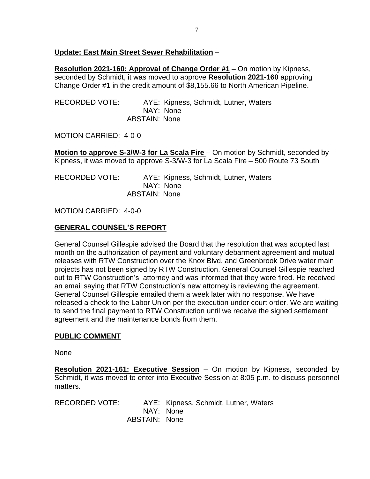### **Update: East Main Street Sewer Rehabilitation** –

**Resolution 2021-160: Approval of Change Order #1** – On motion by Kipness, seconded by Schmidt, it was moved to approve **Resolution 2021-160** approving Change Order #1 in the credit amount of \$8,155.66 to North American Pipeline.

| RECORDED VOTE: |                      | AYE: Kipness, Schmidt, Lutner, Waters |  |
|----------------|----------------------|---------------------------------------|--|
|                |                      | NAY: None                             |  |
|                | <b>ABSTAIN: None</b> |                                       |  |

MOTION CARRIED: 4-0-0

**Motion to approve S-3/W-3 for La Scala Fire** – On motion by Schmidt, seconded by Kipness, it was moved to approve S-3/W-3 for La Scala Fire – 500 Route 73 South

RECORDED VOTE: AYE: Kipness, Schmidt, Lutner, Waters NAY: None ABSTAIN: None

MOTION CARRIED: 4-0-0

# **GENERAL COUNSEL'S REPORT**

General Counsel Gillespie advised the Board that the resolution that was adopted last month on the authorization of payment and voluntary debarment agreement and mutual releases with RTW Construction over the Knox Blvd. and Greenbrook Drive water main projects has not been signed by RTW Construction. General Counsel Gillespie reached out to RTW Construction's attorney and was informed that they were fired. He received an email saying that RTW Construction's new attorney is reviewing the agreement. General Counsel Gillespie emailed them a week later with no response. We have released a check to the Labor Union per the execution under court order. We are waiting to send the final payment to RTW Construction until we receive the signed settlement agreement and the maintenance bonds from them.

## **PUBLIC COMMENT**

None

**Resolution 2021-161: Executive Session** – On motion by Kipness, seconded by Schmidt, it was moved to enter into Executive Session at 8:05 p.m. to discuss personnel matters.

RECORDED VOTE: AYE: Kipness, Schmidt, Lutner, Waters NAY: None ABSTAIN: None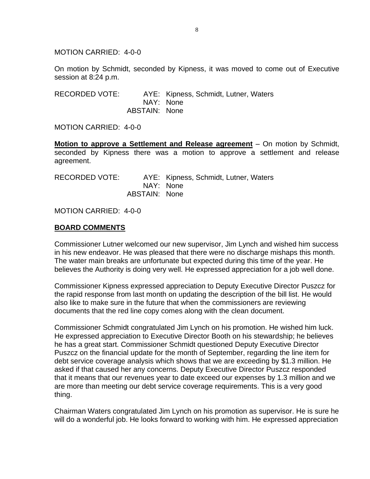MOTION CARRIED: 4-0-0

On motion by Schmidt, seconded by Kipness, it was moved to come out of Executive session at 8:24 p.m.

RECORDED VOTE: AYE: Kipness, Schmidt, Lutner, Waters NAY: None ABSTAIN: None

MOTION CARRIED: 4-0-0

**Motion to approve a Settlement and Release agreement** – On motion by Schmidt, seconded by Kipness there was a motion to approve a settlement and release agreement.

| RECORDED VOTE: |               | AYE: Kipness, Schmidt, Lutner, Waters |
|----------------|---------------|---------------------------------------|
|                | NAY: None     |                                       |
|                | ABSTAIN: None |                                       |

MOTION CARRIED: 4-0-0

#### **BOARD COMMENTS**

Commissioner Lutner welcomed our new supervisor, Jim Lynch and wished him success in his new endeavor. He was pleased that there were no discharge mishaps this month. The water main breaks are unfortunate but expected during this time of the year. He believes the Authority is doing very well. He expressed appreciation for a job well done.

Commissioner Kipness expressed appreciation to Deputy Executive Director Puszcz for the rapid response from last month on updating the description of the bill list. He would also like to make sure in the future that when the commissioners are reviewing documents that the red line copy comes along with the clean document.

Commissioner Schmidt congratulated Jim Lynch on his promotion. He wished him luck. He expressed appreciation to Executive Director Booth on his stewardship; he believes he has a great start. Commissioner Schmidt questioned Deputy Executive Director Puszcz on the financial update for the month of September, regarding the line item for debt service coverage analysis which shows that we are exceeding by \$1.3 million. He asked if that caused her any concerns. Deputy Executive Director Puszcz responded that it means that our revenues year to date exceed our expenses by 1.3 million and we are more than meeting our debt service coverage requirements. This is a very good thing.

Chairman Waters congratulated Jim Lynch on his promotion as supervisor. He is sure he will do a wonderful job. He looks forward to working with him. He expressed appreciation